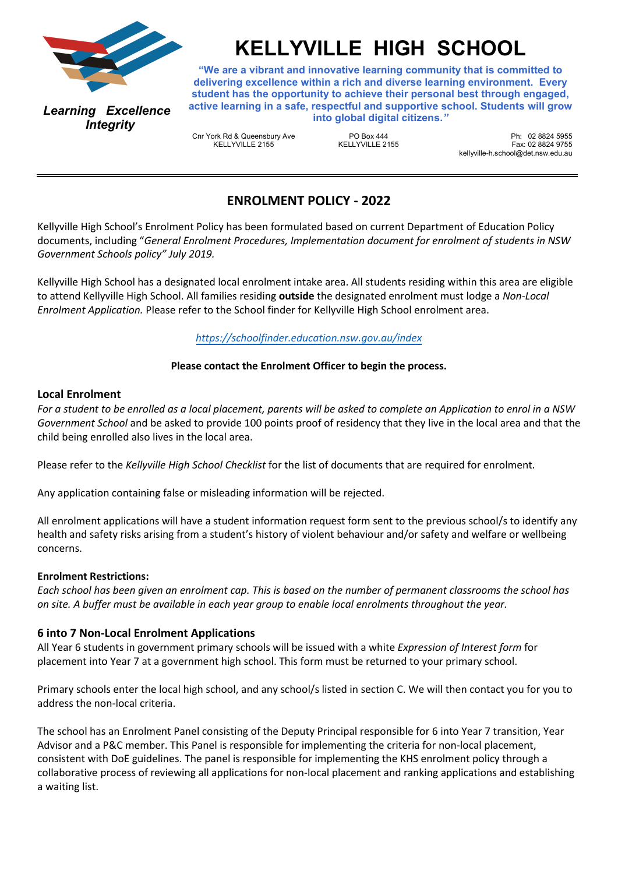

*Learning Excellence Integrity*

# **KELLYVILLE HIGH SCHOOL**

**"We are a vibrant and innovative learning community that is committed to delivering excellence within a rich and diverse learning environment. Every student has the opportunity to achieve their personal best through engaged, active learning in a safe, respectful and supportive school. Students will grow into global digital citizens.***"*

Cnr York Rd & Queensbury Ave KELLYVILLE 2155

PO Box 444  $K$ ELLYVILLE 2155

Ph: 02 8824 5955 Fax: 02 8824 9755 kellyville-h.school@det.nsw.edu.au

# **ENROLMENT POLICY - 2022**

Kellyville High School's Enrolment Policy has been formulated based on current Department of Education Policy documents, including "*General Enrolment Procedures, Implementation document for enrolment of students in NSW Government Schools policy" July 2019.*

Kellyville High School has a designated local enrolment intake area. All students residing within this area are eligible to attend Kellyville High School. All families residing **outside** the designated enrolment must lodge a *Non-Local Enrolment Application.* Please refer to the School finder for Kellyville High School enrolment area.

# *<https://schoolfinder.education.nsw.gov.au/index>*

## **Please contact the Enrolment Officer to begin the process.**

#### **Local Enrolment**

*For a student to be enrolled as a local placement, parents will be asked to complete an Application to enrol in a NSW Government School* and be asked to provide 100 points proof of residency that they live in the local area and that the child being enrolled also lives in the local area.

Please refer to the *Kellyville High School Checklist* for the list of documents that are required for enrolment.

Any application containing false or misleading information will be rejected.

All enrolment applications will have a student information request form sent to the previous school/s to identify any health and safety risks arising from a student's history of violent behaviour and/or safety and welfare or wellbeing concerns.

#### **Enrolment Restrictions:**

*Each school has been given an enrolment cap. This is based on the number of permanent classrooms the school has on site. A buffer must be available in each year group to enable local enrolments throughout the year.*

#### **6 into 7 Non-Local Enrolment Applications**

All Year 6 students in government primary schools will be issued with a white *Expression of Interest form* for placement into Year 7 at a government high school. This form must be returned to your primary school.

Primary schools enter the local high school, and any school/s listed in section C. We will then contact you for you to address the non-local criteria.

The school has an Enrolment Panel consisting of the Deputy Principal responsible for 6 into Year 7 transition, Year Advisor and a P&C member. This Panel is responsible for implementing the criteria for non-local placement, consistent with DoE guidelines. The panel is responsible for implementing the KHS enrolment policy through a collaborative process of reviewing all applications for non-local placement and ranking applications and establishing a waiting list.